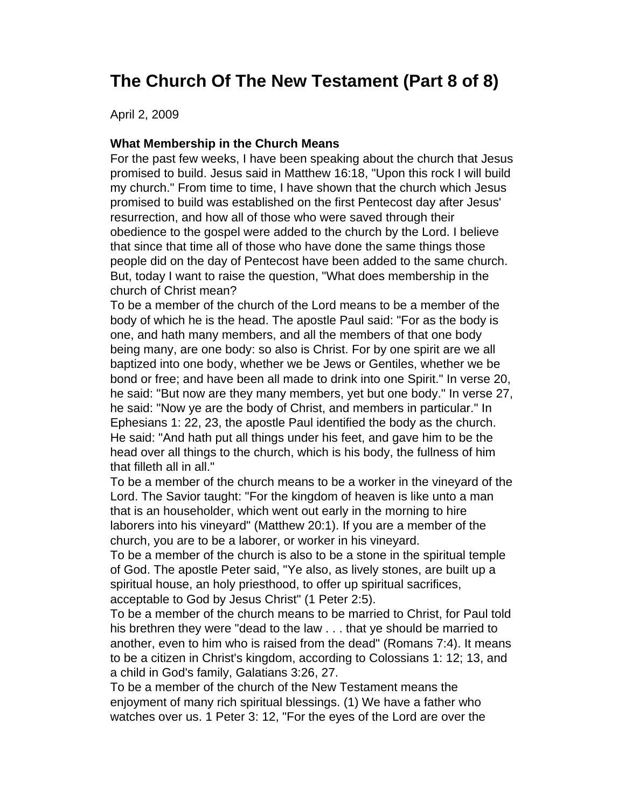## **The Church Of The New Testament (Part 8 of 8)**

April 2, 2009

## **What Membership in the Church Means**

For the past few weeks, I have been speaking about the church that Jesus promised to build. Jesus said in Matthew 16:18, "Upon this rock I will build my church." From time to time, I have shown that the church which Jesus promised to build was established on the first Pentecost day after Jesus' resurrection, and how all of those who were saved through their obedience to the gospel were added to the church by the Lord. I believe that since that time all of those who have done the same things those people did on the day of Pentecost have been added to the same church. But, today I want to raise the question, "What does membership in the church of Christ mean?

To be a member of the church of the Lord means to be a member of the body of which he is the head. The apostle Paul said: "For as the body is one, and hath many members, and all the members of that one body being many, are one body: so also is Christ. For by one spirit are we all baptized into one body, whether we be Jews or Gentiles, whether we be bond or free; and have been all made to drink into one Spirit." In verse 20, he said: "But now are they many members, yet but one body." In verse 27, he said: "Now ye are the body of Christ, and members in particular." In Ephesians 1: 22, 23, the apostle Paul identified the body as the church. He said: "And hath put all things under his feet, and gave him to be the head over all things to the church, which is his body, the fullness of him that filleth all in all."

To be a member of the church means to be a worker in the vineyard of the Lord. The Savior taught: "For the kingdom of heaven is like unto a man that is an householder, which went out early in the morning to hire laborers into his vineyard" (Matthew 20:1). If you are a member of the church, you are to be a laborer, or worker in his vineyard.

To be a member of the church is also to be a stone in the spiritual temple of God. The apostle Peter said, "Ye also, as lively stones, are built up a spiritual house, an holy priesthood, to offer up spiritual sacrifices, acceptable to God by Jesus Christ" (1 Peter 2:5).

To be a member of the church means to be married to Christ, for Paul told his brethren they were "dead to the law . . . that ye should be married to another, even to him who is raised from the dead" (Romans 7:4). It means to be a citizen in Christ's kingdom, according to Colossians 1: 12; 13, and a child in God's family, Galatians 3:26, 27.

To be a member of the church of the New Testament means the enjoyment of many rich spiritual blessings. (1) We have a father who watches over us. 1 Peter 3: 12, "For the eyes of the Lord are over the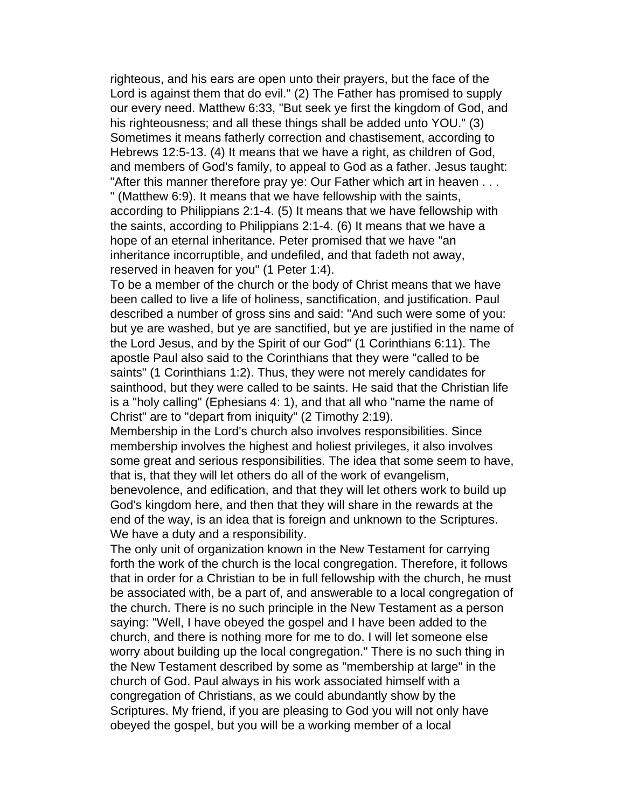righteous, and his ears are open unto their prayers, but the face of the Lord is against them that do evil." (2) The Father has promised to supply our every need. Matthew 6:33, "But seek ye first the kingdom of God, and his righteousness; and all these things shall be added unto YOU." (3) Sometimes it means fatherly correction and chastisement, according to Hebrews 12:5-13. (4) It means that we have a right, as children of God, and members of God's family, to appeal to God as a father. Jesus taught: "After this manner therefore pray ye: Our Father which art in heaven . . . " (Matthew 6:9). It means that we have fellowship with the saints, according to Philippians 2:1-4. (5) It means that we have fellowship with the saints, according to Philippians 2:1-4. (6) It means that we have a hope of an eternal inheritance. Peter promised that we have "an inheritance incorruptible, and undefiled, and that fadeth not away, reserved in heaven for you" (1 Peter 1:4).

To be a member of the church or the body of Christ means that we have been called to live a life of holiness, sanctification, and justification. Paul described a number of gross sins and said: "And such were some of you: but ye are washed, but ye are sanctified, but ye are justified in the name of the Lord Jesus, and by the Spirit of our God" (1 Corinthians 6:11). The apostle Paul also said to the Corinthians that they were "called to be saints" (1 Corinthians 1:2). Thus, they were not merely candidates for sainthood, but they were called to be saints. He said that the Christian life is a "holy calling" (Ephesians 4: 1), and that all who "name the name of Christ" are to "depart from iniquity" (2 Timothy 2:19).

Membership in the Lord's church also involves responsibilities. Since membership involves the highest and holiest privileges, it also involves some great and serious responsibilities. The idea that some seem to have, that is, that they will let others do all of the work of evangelism,

benevolence, and edification, and that they will let others work to build up God's kingdom here, and then that they will share in the rewards at the end of the way, is an idea that is foreign and unknown to the Scriptures. We have a duty and a responsibility.

The only unit of organization known in the New Testament for carrying forth the work of the church is the local congregation. Therefore, it follows that in order for a Christian to be in full fellowship with the church, he must be associated with, be a part of, and answerable to a local congregation of the church. There is no such principle in the New Testament as a person saying: "Well, I have obeyed the gospel and I have been added to the church, and there is nothing more for me to do. I will let someone else worry about building up the local congregation." There is no such thing in the New Testament described by some as "membership at large" in the church of God. Paul always in his work associated himself with a congregation of Christians, as we could abundantly show by the Scriptures. My friend, if you are pleasing to God you will not only have obeyed the gospel, but you will be a working member of a local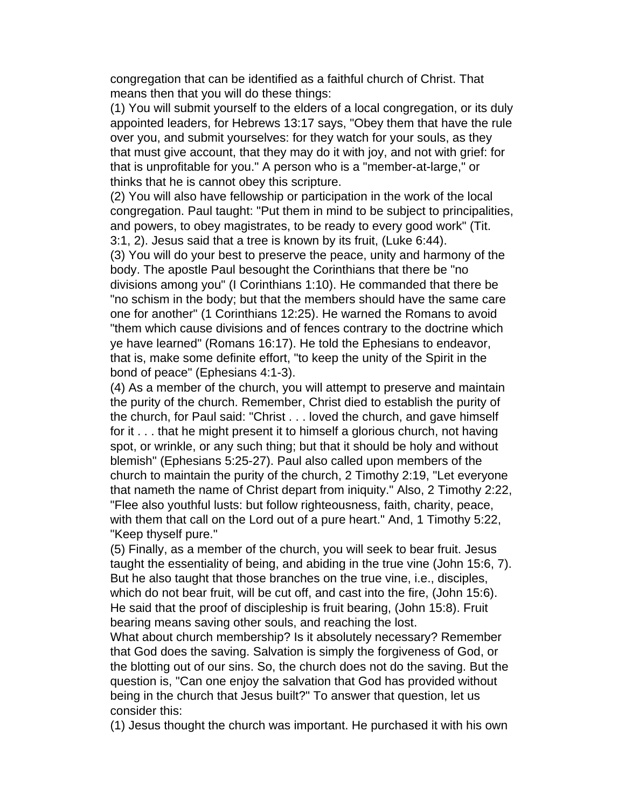congregation that can be identified as a faithful church of Christ. That means then that you will do these things:

(1) You will submit yourself to the elders of a local congregation, or its duly appointed leaders, for Hebrews 13:17 says, "Obey them that have the rule over you, and submit yourselves: for they watch for your souls, as they that must give account, that they may do it with joy, and not with grief: for that is unprofitable for you." A person who is a "member-at-large," or thinks that he is cannot obey this scripture.

(2) You will also have fellowship or participation in the work of the local congregation. Paul taught: "Put them in mind to be subject to principalities, and powers, to obey magistrates, to be ready to every good work" (Tit. 3:1, 2). Jesus said that a tree is known by its fruit, (Luke 6:44).

(3) You will do your best to preserve the peace, unity and harmony of the body. The apostle Paul besought the Corinthians that there be "no divisions among you" (I Corinthians 1:10). He commanded that there be "no schism in the body; but that the members should have the same care one for another" (1 Corinthians 12:25). He warned the Romans to avoid "them which cause divisions and of fences contrary to the doctrine which ye have learned" (Romans 16:17). He told the Ephesians to endeavor, that is, make some definite effort, "to keep the unity of the Spirit in the bond of peace" (Ephesians 4:1-3).

(4) As a member of the church, you will attempt to preserve and maintain the purity of the church. Remember, Christ died to establish the purity of the church, for Paul said: "Christ . . . loved the church, and gave himself for it . . . that he might present it to himself a glorious church, not having spot, or wrinkle, or any such thing; but that it should be holy and without blemish" (Ephesians 5:25-27). Paul also called upon members of the church to maintain the purity of the church, 2 Timothy 2:19, "Let everyone that nameth the name of Christ depart from iniquity." Also, 2 Timothy 2:22, "Flee also youthful lusts: but follow righteousness, faith, charity, peace, with them that call on the Lord out of a pure heart." And, 1 Timothy 5:22, "Keep thyself pure."

(5) Finally, as a member of the church, you will seek to bear fruit. Jesus taught the essentiality of being, and abiding in the true vine (John 15:6, 7). But he also taught that those branches on the true vine, i.e., disciples, which do not bear fruit, will be cut off, and cast into the fire, (John 15:6). He said that the proof of discipleship is fruit bearing, (John 15:8). Fruit bearing means saving other souls, and reaching the lost.

What about church membership? Is it absolutely necessary? Remember that God does the saving. Salvation is simply the forgiveness of God, or the blotting out of our sins. So, the church does not do the saving. But the question is, "Can one enjoy the salvation that God has provided without being in the church that Jesus built?" To answer that question, let us consider this:

(1) Jesus thought the church was important. He purchased it with his own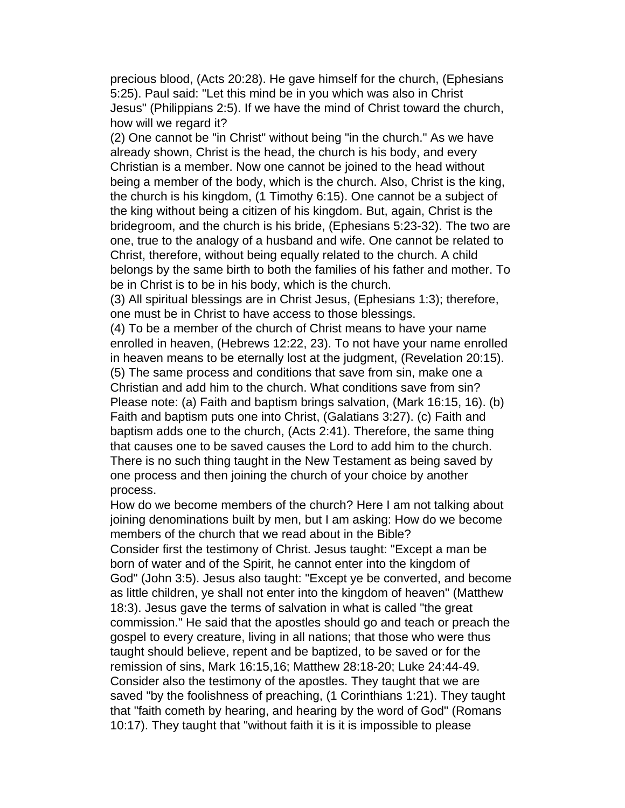precious blood, (Acts 20:28). He gave himself for the church, (Ephesians 5:25). Paul said: "Let this mind be in you which was also in Christ Jesus" (Philippians 2:5). If we have the mind of Christ toward the church, how will we regard it?

(2) One cannot be "in Christ" without being "in the church." As we have already shown, Christ is the head, the church is his body, and every Christian is a member. Now one cannot be joined to the head without being a member of the body, which is the church. Also, Christ is the king, the church is his kingdom, (1 Timothy 6:15). One cannot be a subject of the king without being a citizen of his kingdom. But, again, Christ is the bridegroom, and the church is his bride, (Ephesians 5:23-32). The two are one, true to the analogy of a husband and wife. One cannot be related to Christ, therefore, without being equally related to the church. A child belongs by the same birth to both the families of his father and mother. To be in Christ is to be in his body, which is the church.

(3) All spiritual blessings are in Christ Jesus, (Ephesians 1:3); therefore, one must be in Christ to have access to those blessings.

(4) To be a member of the church of Christ means to have your name enrolled in heaven, (Hebrews 12:22, 23). To not have your name enrolled in heaven means to be eternally lost at the judgment, (Revelation 20:15). (5) The same process and conditions that save from sin, make one a Christian and add him to the church. What conditions save from sin? Please note: (a) Faith and baptism brings salvation, (Mark 16:15, 16). (b) Faith and baptism puts one into Christ, (Galatians 3:27). (c) Faith and baptism adds one to the church, (Acts 2:41). Therefore, the same thing that causes one to be saved causes the Lord to add him to the church. There is no such thing taught in the New Testament as being saved by one process and then joining the church of your choice by another process.

How do we become members of the church? Here I am not talking about joining denominations built by men, but I am asking: How do we become members of the church that we read about in the Bible?

Consider first the testimony of Christ. Jesus taught: "Except a man be born of water and of the Spirit, he cannot enter into the kingdom of God" (John 3:5). Jesus also taught: "Except ye be converted, and become as little children, ye shall not enter into the kingdom of heaven" (Matthew 18:3). Jesus gave the terms of salvation in what is called "the great commission." He said that the apostles should go and teach or preach the gospel to every creature, living in all nations; that those who were thus taught should believe, repent and be baptized, to be saved or for the remission of sins, Mark 16:15,16; Matthew 28:18-20; Luke 24:44-49. Consider also the testimony of the apostles. They taught that we are saved "by the foolishness of preaching, (1 Corinthians 1:21). They taught that "faith cometh by hearing, and hearing by the word of God" (Romans 10:17). They taught that "without faith it is it is impossible to please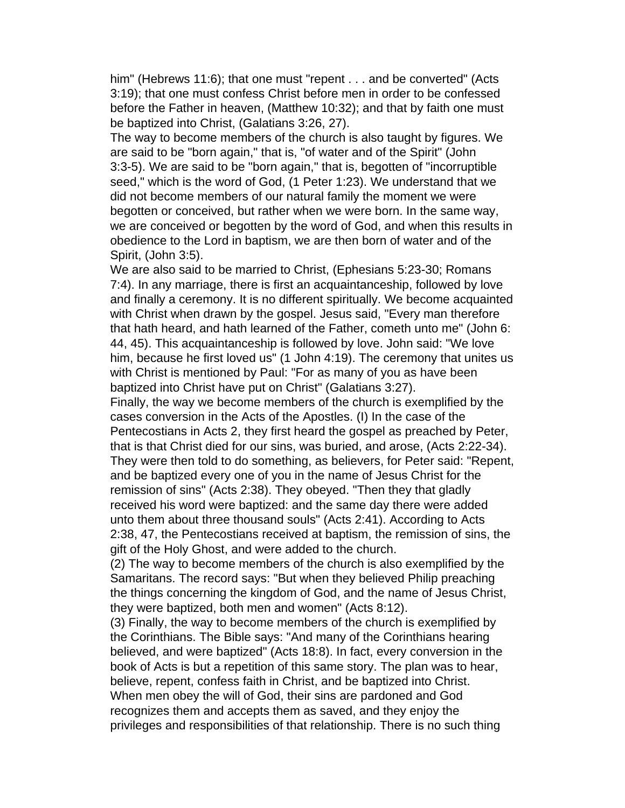him" (Hebrews 11:6); that one must "repent . . . and be converted" (Acts 3:19); that one must confess Christ before men in order to be confessed before the Father in heaven, (Matthew 10:32); and that by faith one must be baptized into Christ, (Galatians 3:26, 27).

The way to become members of the church is also taught by figures. We are said to be "born again," that is, "of water and of the Spirit" (John 3:3-5). We are said to be "born again," that is, begotten of "incorruptible seed," which is the word of God, (1 Peter 1:23). We understand that we did not become members of our natural family the moment we were begotten or conceived, but rather when we were born. In the same way, we are conceived or begotten by the word of God, and when this results in obedience to the Lord in baptism, we are then born of water and of the Spirit, (John 3:5).

We are also said to be married to Christ, (Ephesians 5:23-30; Romans 7:4). In any marriage, there is first an acquaintanceship, followed by love and finally a ceremony. It is no different spiritually. We become acquainted with Christ when drawn by the gospel. Jesus said, "Every man therefore that hath heard, and hath learned of the Father, cometh unto me" (John 6: 44, 45). This acquaintanceship is followed by love. John said: "We love him, because he first loved us" (1 John 4:19). The ceremony that unites us with Christ is mentioned by Paul: "For as many of you as have been baptized into Christ have put on Christ" (Galatians 3:27).

Finally, the way we become members of the church is exemplified by the cases conversion in the Acts of the Apostles. (I) In the case of the Pentecostians in Acts 2, they first heard the gospel as preached by Peter, that is that Christ died for our sins, was buried, and arose, (Acts 2:22-34). They were then told to do something, as believers, for Peter said: "Repent, and be baptized every one of you in the name of Jesus Christ for the remission of sins" (Acts 2:38). They obeyed. "Then they that gladly received his word were baptized: and the same day there were added unto them about three thousand souls" (Acts 2:41). According to Acts 2:38, 47, the Pentecostians received at baptism, the remission of sins, the gift of the Holy Ghost, and were added to the church.

(2) The way to become members of the church is also exemplified by the Samaritans. The record says: "But when they believed Philip preaching the things concerning the kingdom of God, and the name of Jesus Christ, they were baptized, both men and women" (Acts 8:12).

(3) Finally, the way to become members of the church is exemplified by the Corinthians. The Bible says: "And many of the Corinthians hearing believed, and were baptized" (Acts 18:8). In fact, every conversion in the book of Acts is but a repetition of this same story. The plan was to hear, believe, repent, confess faith in Christ, and be baptized into Christ. When men obey the will of God, their sins are pardoned and God recognizes them and accepts them as saved, and they enjoy the privileges and responsibilities of that relationship. There is no such thing